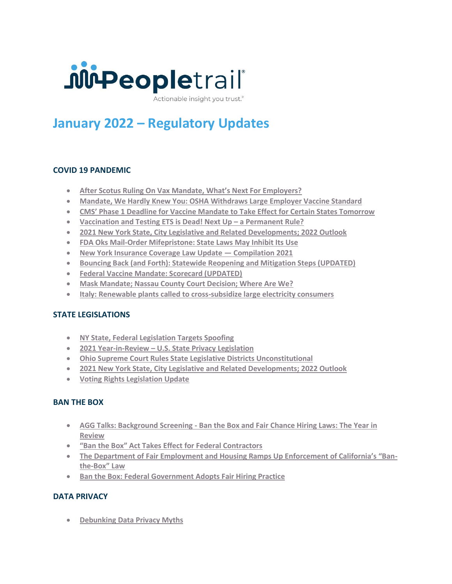

Actionable insight you trust.<sup>®</sup>

# **January 2022 – Regulatory Updates**

# **COVID 19 PANDEMIC**

- **[After Scotus Ruling On Vax Mandate, What's Next For Employers?](https://www.hoamanagement.com/covid-19-immunity-law/)**
- **[Mandate, We Hardly Knew You: OSHA Withdraws Large Employer Vaccine Standard](mandate-we-hardly-knew-you-osha-7628867/)**
- **[CMS' Phase 1 Deadline for Vaccine Mandate to Take Effect for Certain States Tomorrow](https://www.jdsupra.com/legalnews/cms-phase-1-deadline-for-vaccine-3497149/)**
- **[Vaccination and Testing ETS is Dead! Next Up](https://www.jdsupra.com/legalnews/vaccination-and-testing-ets-is-dead-8352114/) – a Permanent Rule?**
- **[2021 New York State, City Legislative and Related Developments; 2022 Outlook](https://www.jdsupra.com/legalnews/2021-new-york-state-city-legislative-5324721/)**
- **[FDA Oks Mail-Order Mifepristone: State Laws May Inhibit Its Use](https://www.jdsupra.com/legalnews/fda-oks-mail-order-mifepristone-state-1604128/)**
- **[New York Insurance Coverage Law Update](https://www.jdsupra.com/legalnews/new-york-insurance-coverage-law-update-2633858/) — Compilation 2021**
- **[Bouncing Back \(and Forth\): Statewide Reopening and Mitigation Steps \(UPDATED\)](https://www.jdsupra.com/legalnews/bouncing-back-and-forth-statewide-6403730/)**
- **[Federal Vaccine Mandate: Scorecard \(UPDATED\)](https://www.jdsupra.com/legalnews/federal-vaccine-mandate-scorecard-1575589/)**
- **[Mask Mandate; Nassau County Court Decision; Where Are We?](https://www.jdsupra.com/legalnews/mask-mandate-nassau-county-court-7334795/)**
- **[Italy: Renewable plants called to cross-subsidize large electricity consumers](https://www.jdsupra.com/legalnews/italy-renewable-plants-called-to-cross-7391113/)**

# **STATE LEGISLATIONS**

- **[NY State, Federal Legislation Targets Spoofing](https://www.jdsupra.com/legalnews/ny-state-federal-legislation-targets-6158861/)**
- **2021 Year-in-Review – [U.S. State Privacy Legislation](https://www.jdsupra.com/legalnews/2021-year-in-review-u-s-state-privacy-9226675/)**
- **[Ohio Supreme Court Rules State Legislative Districts Unconstitutional](https://www.jdsupra.com/legalnews/ohio-supreme-court-rules-state-1614038/)**
- **[2021 New York State, City Legislative and Related Developments; 2022 Outlook](https://www.jdsupra.com/legalnews/2021-new-york-state-city-legislative-5324721/)**
- **[Voting Rights Legislation Update](https://www.jdsupra.com/legalnews/voting-rights-legislation-update-5353888/)**

#### **BAN THE BOX**

- **AGG Talks: Background Screening - [Ban the Box and Fair Chance Hiring Laws: The Year in](https://www.jdsupra.com/legalnews/agg-talks-background-screening-ban-th-64771/)  [Review](https://www.jdsupra.com/legalnews/agg-talks-background-screening-ban-th-64771/)**
- **["Ban the Box" Act Takes Effect for Federal Contractors](https://www.jdsupra.com/legalnews/ban-the-box-act-takes-effect-for-3562759/)**
- **[The Department of Fair Employment and Housing Ramps Up Enforcement of California's "Ban](https://www.jdsupra.com/legalnews/the-department-of-fair-employment-and-9790457/)the-[Box" Law](https://www.jdsupra.com/legalnews/the-department-of-fair-employment-and-9790457/)**
- **[Ban the Box: Federal Government Adopts Fair Hiring Practice](https://www.jdsupra.com/legalnews/ban-the-box-federal-government-adopts-8382563/)**

# **DATA PRIVACY**

• **[Debunking Data Privacy Myths](https://www.jdsupra.com/legalnews/debunking-data-privacy-myths-1476337/)**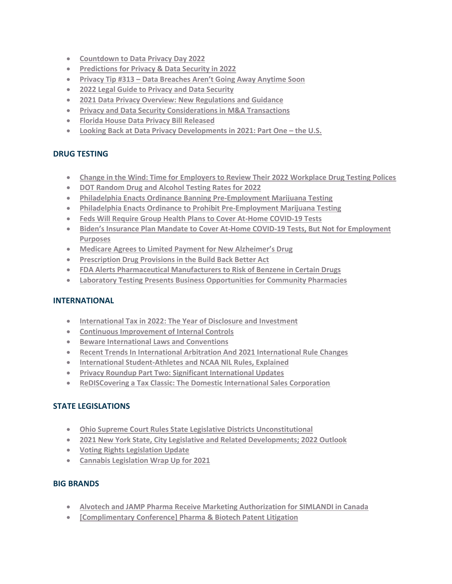- **[Countdown to Data Privacy Day 2022](https://www.jdsupra.com/legalnews/countdown-to-data-privacy-day-2022-9365898/)**
- **[Predictions for Privacy & Data Security in 2022](https://www.jdsupra.com/legalnews/predictions-for-privacy-data-security-1856006/)**
- **Privacy Tip #313 – [Data Breaches Aren't Going Away Anytime Soon](https://www.jdsupra.com/legalnews/privacy-tip-313-data-breaches-aren-t-1539516/)**
- **[2022 Legal Guide to Privacy and Data Security](https://www.jdsupra.com/legalnews/2022-legal-guide-to-privacy-and-data-3008137/)**
- **[2021 Data Privacy Overview: New Regulations and Guidance](https://www.jdsupra.com/legalnews/2021-data-privacy-overview-new-4042911/)**
- **[Privacy and Data Security Considerations in M&A Transactions](https://www.jdsupra.com/legalnews/privacy-and-data-security-6607827/)**
- **[Florida House Data Privacy Bill Released](https://www.jdsupra.com/legalnews/florida-house-data-privacy-bill-released-7963979/)**
- [Looking Back at Data Privacy Developments in 2021: Part One](https://www.jdsupra.com/legalnews/part-one-the-us-8016822/)  the U.S.

## **DRUG TESTING**

- **[Change in the Wind: Time for Employers to Review Their 2022 Workplace Drug Testing Polices](https://www.jdsupra.com/legalnews/change-in-the-wind-time-for-employers-6471987/)**
- **DOT Random Drug [and Alcohol Testing Rates for 2022](https://www.jdsupra.com/legalnews/dot-random-drug-and-alcohol-testing-9723471/)**
- **[Philadelphia Enacts Ordinance Banning Pre-Employment Marijuana Testing](https://www.jdsupra.com/legalnews/philadelphia-enacts-ordinance-banning-9327202/)**
- **[Philadelphia Enacts Ordinance to Prohibit Pre-Employment Marijuana Testing](https://www.jdsupra.com/legalnews/philadelphia-enacts-ordinance-to-3537610/)**
- **[Feds Will Require Group Health Plans to Cover At-Home COVID-19 Tests](https://www.jdsupra.com/legalnews/feds-will-require-group-health-plans-to-1072835/)**
- **Biden's Insurance Plan Mandate to Cover At[-Home COVID-19 Tests, But Not for Employment](https://www.jdsupra.com/legalnews/biden-s-insurance-plan-mandate-to-cover-7762267/)  [Purposes](https://www.jdsupra.com/legalnews/biden-s-insurance-plan-mandate-to-cover-7762267/)**
- **[Medicare Agrees to Limited Payment for New Alzheimer's Drug](https://www.jdsupra.com/legalnews/medicare-agrees-to-limited-payment-for-3016925/)**
- **[Prescription Drug Provisions in the Build Back Better Act](https://www.jdsupra.com/legalnews/prescription-drug-provisions-in-the-9508053/)**
- **[FDA Alerts Pharmaceutical Manufacturers to Risk of Benzene in Certain Drugs](https://www.jdsupra.com/legalnews/fda-alerts-pharmaceutical-manufacturers-2201446/)**
- **[Laboratory Testing Presents Business Opportunities for Community Pharmacies](https://www.jdsupra.com/legalnews/laboratory-testing-presents-business-1480512/)**

#### **INTERNATIONAL**

- **[International Tax in 2022: The Year of Disclosure and Investment](https://www.jdsupra.com/legalnews/international-tax-in-2022-the-year-of-1881617/)**
- **[Continuous Improvement of Internal Controls](https://www.jdsupra.com/legalnews/continuous-improvement-of-internal-2686349/)**
- **[Beware International Laws and Conventions](https://www.jdsupra.com/legalnews/beware-international-laws-and-4271330/)**
- **[Recent Trends In International Arbitration And 2021 International Rule Changes](https://www.jdsupra.com/legalnews/recent-trends-in-international-6256214/)**
- **[International Student-Athletes and NCAA NIL Rules, Explained](https://www.jdsupra.com/legalnews/international-student-athletes-and-ncaa-1729551/)**
- **[Privacy Roundup Part Two: Significant International Updates](https://www.jdsupra.com/legalnews/privacy-roundup-part-two-significant-9433812/)**
- **[ReDISCovering a Tax Classic: The Domestic International Sales Corporation](https://www.jdsupra.com/legalnews/rediscovering-a-tax-classic-the-2678690/)**

#### **STATE LEGISLATIONS**

- **[Ohio Supreme Court Rules State Legislative Districts Unconstitutional](https://www.jdsupra.com/legalnews/ohio-supreme-court-rules-state-1614038/)**
- **[2021 New York State, City Legislative and Related Developments; 2022 Outlook](https://www.jdsupra.com/legalnews/2021-new-york-state-city-legislative-5324721/)**
- **[Voting Rights Legislation Update](https://www.jdsupra.com/legalnews/voting-rights-legislation-update-5353888/)**
- **[Cannabis Legislation Wrap Up for 2021](file:///C:/https:/www.jdsupra.com/legalnews/cannabis-legislation-wrap-up-for-2021-5746328/)**

#### **BIG BRANDS**

- **Alvotech [and JAMP Pharma Receive Marketing Authorization for SIMLANDI in Canada](https://www.jdsupra.com/legalnews/alvotech-and-jamp-pharma-receive-9046824/)**
- **[\[Complimentary Conference\] Pharma & Biotech Patent Litigation](https://www.jdsupra.com/legalnews/complimentary-conference-pharma-biotech-9796276/)**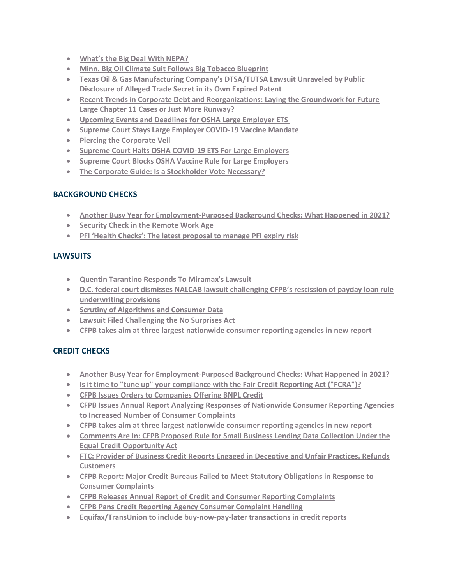- **[What's the Big Deal With N](https://www.jdsupra.com/legalnews/what-s-the-big-deal-with-nepa-3179856/)EPA?**
- **[Minn. Big Oil Climate Suit Follows Big Tobacco Blueprint](https://www.jdsupra.com/legalnews/minn-big-oil-climate-suit-follows-big-3681541/)**
- **[Texas Oil & Gas Manufacturing Company's DTSA/TUTSA Lawsuit Unraveled by Public](https://www.jdsupra.com/legalnews/texas-oil-gas-manufacturing-company-s-7655760/)  [Disclosure of Alleged Trade Secret in its Own Expired Patent](https://www.jdsupra.com/legalnews/texas-oil-gas-manufacturing-company-s-7655760/)**
- **[Recent Trends in Corporate Debt and Reorganizations: Laying the Groundwork for Future](https://www.jdsupra.com/legalnews/recent-trends-in-corporate-debt-and-8402428/)  [Large Chapter 11 Cases or Just More Runway?](https://www.jdsupra.com/legalnews/recent-trends-in-corporate-debt-and-8402428/)**
- **[Upcoming Events and Deadlines for OSHA Large Employer ETS](https://www.jdsupra.com/legalnews/upcoming-events-and-deadlines-for-osha-4643798/)**
- **[Supreme Court Stays Large Employer COVID-19 Vaccine Mandate](https://www.jdsupra.com/legalnews/supreme-court-stays-large-employer-7618750/)**
- **[Piercing the Corporate Veil](https://www.jdsupra.com/legalnews/piercing-the-corporate-veil-5290917/)**
- **[Supreme Court Halts OSHA COVID-19 ETS For Large Employers](https://www.jdsupra.com/legalnews/supreme-court-halts-osha-covid-19-ets-2418826/)**
- **[Supreme Court Blocks OSHA Vaccine Rule for Large Employers](https://www.jdsupra.com/legalnews/supreme-court-blocks-osha-vaccine-rule-2473707/)**
- **[The Corporate Guide: Is a Stockholder Vote Necessary?](https://www.jdsupra.com/legalnews/the-corporate-guide-is-a-stockholder-1035886/)**

## **BACKGROUND CHECKS**

- **[Another Busy Year for Employment-Purposed Background Checks: What Happened in 2021?](https://www.jdsupra.com/legalnews/another-busy-year-for-employment-6837508/)**
- **[Security Check in the Remote Work Age](https://www.jdsupra.com/legalnews/security-check-in-the-remote-work-age-6129903/)**
- **[PFI 'Health Checks': The latest proposal to manage PFI expiry risk](https://www.jdsupra.com/legalnews/pfi-health-checks-the-latest-proposal-8700042/)**

## **LAWSUITS**

- **[Quentin Tarantino Responds To Miramax's Lawsuit](https://www.jdsupra.com/legalnews/quentin-tarantino-responds-to-miramax-s-4553794/)**
- **[D.C. federal court dismisses NALCAB lawsuit challenging CFPB's rescission of payday loan rule](https://www.jdsupra.com/legalnews/d-c-federal-court-dismisses-nalcab-4193280/)  [underwriting provisions](https://www.jdsupra.com/legalnews/d-c-federal-court-dismisses-nalcab-4193280/)**
- **[Scrutiny of Algorithms and Consumer Data](https://www.jdsupra.com/legalnews/scrutiny-of-algorithms-and-consumer-data-2792889/)**
- **[Lawsuit Filed Challenging the No Surprises Act](https://www.jdsupra.com/legalnews/lawsuit-filed-challenging-the-no-5080650/)**
- **[CFPB takes aim at three largest nationwide consumer reporting agencies in new report](https://www.jdsupra.com/legalnews/cfpb-takes-aim-at-three-largest-8615101/)**

# **CREDIT CHECKS**

- **[Another Busy Year for Employment-Purposed Background Checks: What Happened in 2021?](https://www.jdsupra.com/legalnews/another-busy-year-for-employment-6837508/)**
- **[Is it time to "tune up" your compliance with the Fair Credit Reporting Act \("FCRA"\)?](https://www.jdsupra.com/legalnews/is-it-time-to-tune-up-your-compliance-9203040/)**
- **[CFPB Issues Orders to Companies Offering BNPL Credit](https://www.jdsupra.com/legalnews/cfpb-issues-orders-to-companies-2909587/)**
- **[CFPB Issues Annual Report Analyzing Responses of Nationwide Consumer Reporting Agencies](https://www.jdsupra.com/legalnews/cfpb-issues-annual-report-analyzing-8110882/)  [to Increased Number of Consumer Complaints](https://www.jdsupra.com/legalnews/cfpb-issues-annual-report-analyzing-8110882/)**
- **[CFPB takes aim at three largest nationwide consumer reporting agencies in new report](https://www.jdsupra.com/legalnews/cfpb-takes-aim-at-three-largest-8615101/)**
- **[Comments Are In: CFPB Proposed Rule for Small Business Lending Data Collection Under the](https://www.jdsupra.com/legalnews/comments-are-in-cfpb-proposed-rule-for-6579965/)  [Equal Credit Opportunity Act](https://www.jdsupra.com/legalnews/comments-are-in-cfpb-proposed-rule-for-6579965/)**
- **FTC: [Provider of Business Credit Reports Engaged in Deceptive and Unfair Practices, Refunds](https://www.jdsupra.com/legalnews/ftc-provider-of-business-credit-reports-5908255/) [Customers](https://www.jdsupra.com/legalnews/ftc-provider-of-business-credit-reports-5908255/)**
- **[CFPB Report: Major Credit Bureaus Failed to Meet Statutory Obligations in Response to](https://www.jdsupra.com/legalnews/cfpb-report-major-credit-bureaus-failed-6283753/)  [Consumer Complaints](https://www.jdsupra.com/legalnews/cfpb-report-major-credit-bureaus-failed-6283753/)**
- **[CFPB Releases Annual Report of Credit and Consumer Reporting Complaints](https://www.jdsupra.com/legalnews/cfpb-releases-annual-report-of-credit-4916049/)**
- **[CFPB Pans Credit Reporting Agency Consumer Complaint Handling](https://www.jdsupra.com/legalnews/cfpb-pans-credit-reporting-agency-2822011/)**
- **[Equifax/TransUnion to include buy-now-pay-later transactions in credit reports](https://www.jdsupra.com/legalnews/equifax-transunion-to-include-buy-now-4512321/)**